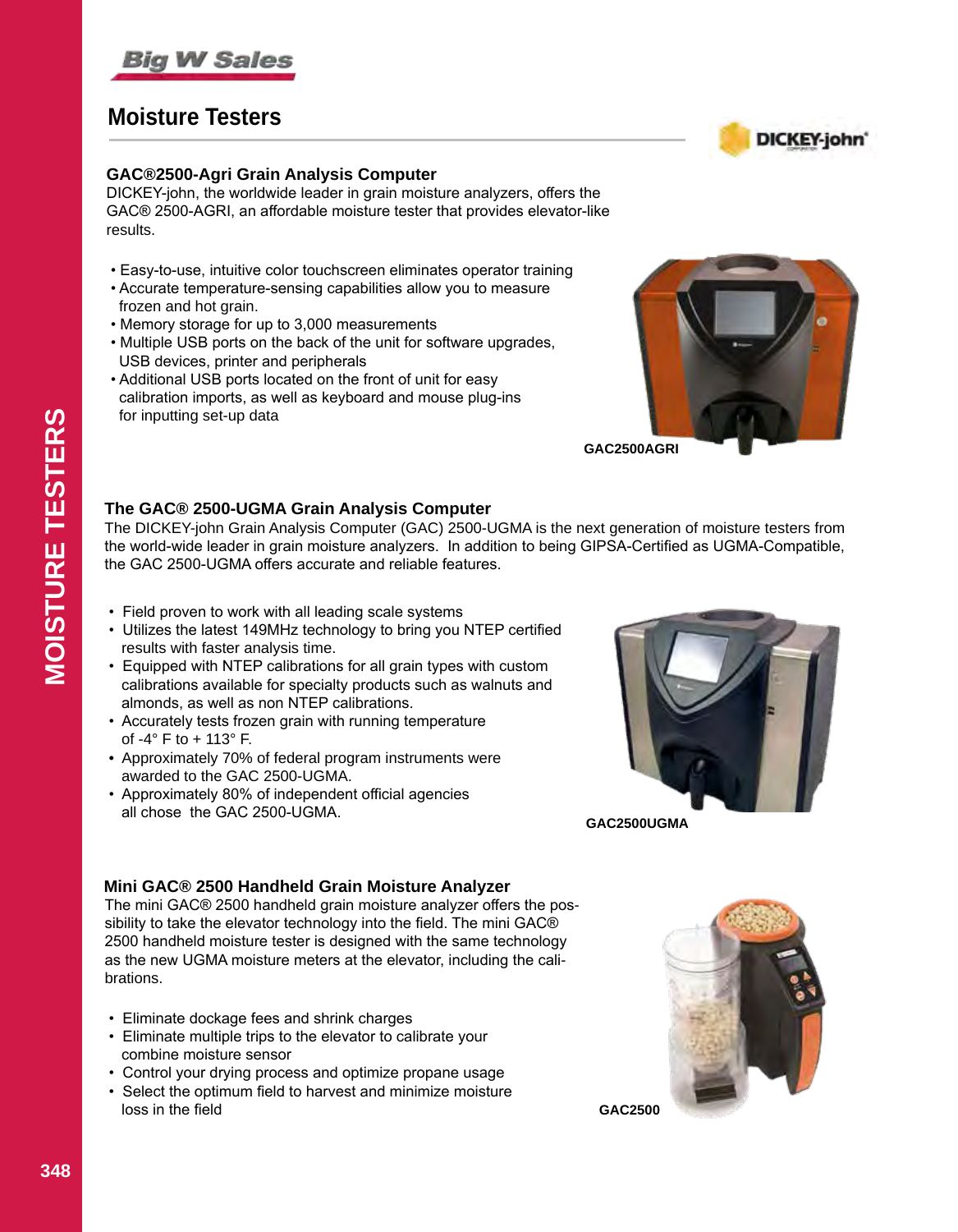

## **Moisture Testers**

### **GAC®2500-Agri Grain Analysis Computer**

DICKEY-john, the worldwide leader in grain moisture analyzers, offers the GAC® 2500-AGRI, an affordable moisture tester that provides elevator-like results.

- Easy-to-use, intuitive color touchscreen eliminates operator training
- Accurate temperature-sensing capabilities allow you to measure frozen and hot grain.
- Memory storage for up to 3,000 measurements
- Multiple USB ports on the back of the unit for software upgrades, USB devices, printer and peripherals
- Additional USB ports located on the front of unit for easy calibration imports, as well as keyboard and mouse plug-ins for inputting set-up data



**DICKEY-john'** 

**GAC2500AGRI**

## **The GAC® 2500-UGMA Grain Analysis Computer**

The DICKEY-john Grain Analysis Computer (GAC) 2500-UGMA is the next generation of moisture testers from the world-wide leader in grain moisture analyzers. In addition to being GIPSA-Certified as UGMA-Compatible, the GAC 2500-UGMA offers accurate and reliable features.

- Field proven to work with all leading scale systems
- Utilizes the latest 149MHz technology to bring you NTEP certified results with faster analysis time.
- Equipped with NTEP calibrations for all grain types with custom calibrations available for specialty products such as walnuts and almonds, as well as non NTEP calibrations.
- Accurately tests frozen grain with running temperature of -4° F to + 113° F.
- Approximately 70% of federal program instruments were awarded to the GAC 2500-UGMA.
- Approximately 80% of independent official agencies all chose the GAC 2500-UGMA.



**GAC2500UGMA**

## **Mini GAC® 2500 Handheld Grain Moisture Analyzer**

The mini GAC® 2500 handheld grain moisture analyzer offers the possibility to take the elevator technology into the field. The mini GAC® 2500 handheld moisture tester is designed with the same technology as the new UGMA moisture meters at the elevator, including the calibrations.

- Eliminate dockage fees and shrink charges
- Eliminate multiple trips to the elevator to calibrate your combine moisture sensor
- Control your drying process and optimize propane usage
- Select the optimum field to harvest and minimize moisture loss in the field



**GAC2500**